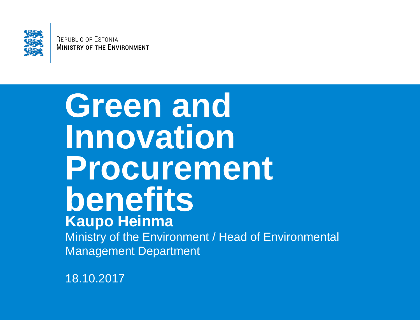

**REPUBLIC OF ESTONIA MINISTRY OF THE ENVIRONMENT** 

#### **Green and Innovation Procurement benefits Kaupo Heinma** Ministry of the Environment / Head of Environmental

Management Department

18.10.2017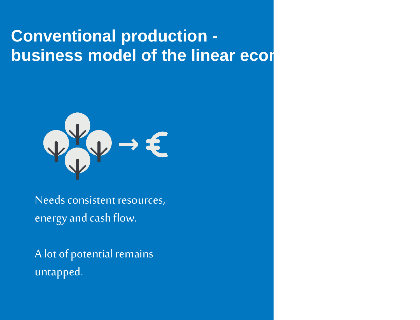#### **Conventional production business model of the linear economy**



Needs consistent resources, energy and cash flow.

A lot of potential remains untapped.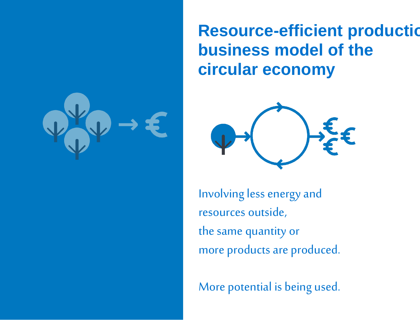

**Resource-efficient production business model of the circular economy** 



Involving less energy and resources outside, the same quantity or more products are produced.

More potential is being used.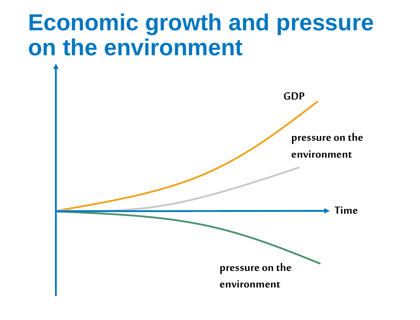#### **Economic growth and pressure on the environment**

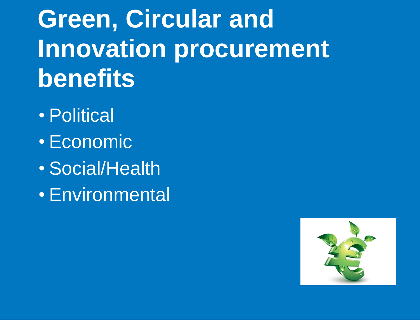**Green, Circular and Innovation procurement benefits**

- Political
- Economic
- Social/Health
- Environmental

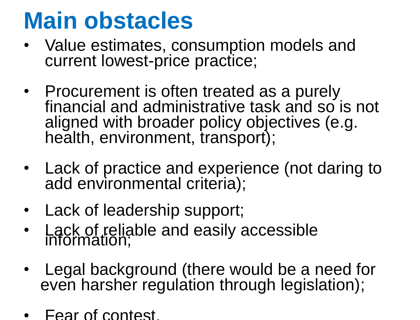#### **Main obstacles**

- Value estimates, consumption models and current lowest-price practice;
- Procurement is often treated as a purely financial and administrative task and so is not aligned with broader policy objectives (e.g. health, environment, transport);
- Lack of practice and experience (not daring to add environmental criteria);
- Lack of leadership support;
- Lack of reliable and easily accessible<br>information;
- Legal background (there would be a need for even harsher regulation through legislation);
- Fear of contest.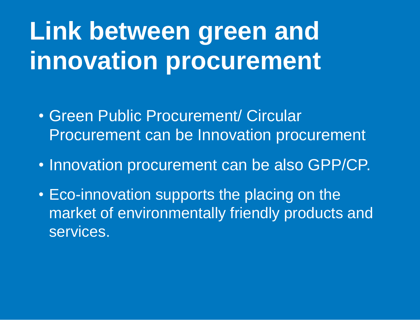# **Link between green and innovation procurement**

- Green Public Procurement/ Circular Procurement can be Innovation procurement
- Innovation procurement can be also GPP/CP.
- Eco-innovation supports the placing on the market of environmentally friendly products and services.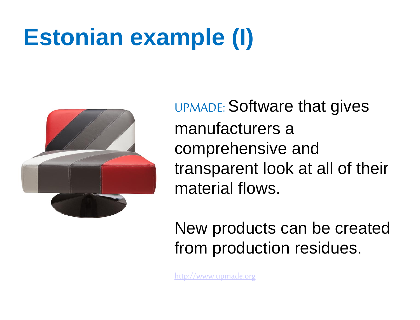# **Estonian example (I)**



UPMADE: Software that gives manufacturers a comprehensive and transparent look at all of their material flows.

New products can be created from production residues.

[http://www.upmade.org](http://www.upmade.org/)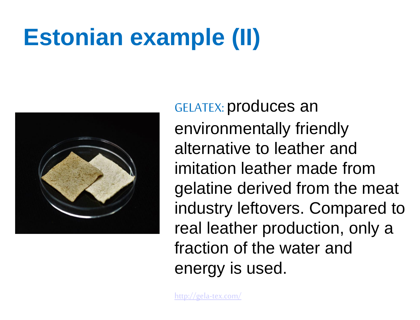# **Estonian example (II)**



GELATEX: produces an environmentally friendly alternative to leather and imitation leather made from gelatine derived from the meat industry leftovers. Compared to real leather production, only a fraction of the water and energy is used.

<http://gela-tex.com/>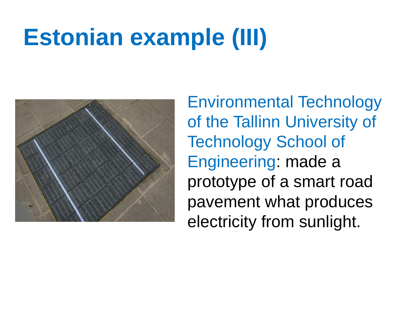#### **Estonian example (III)**



Environmental Technology of the Tallinn University of Technology School of Engineering: made a prototype of a smart road pavement what produces electricity from sunlight.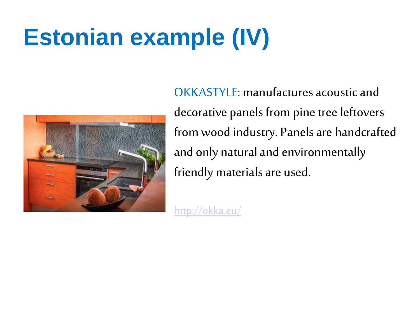# **Estonian example (IV)**



OKKASTYLE: manufactures acoustic and decorative panels from pine tree leftovers from wood industry. Panels are handcrafted and only natural and environmentally friendly materials are used.

<http://okka.eu/>